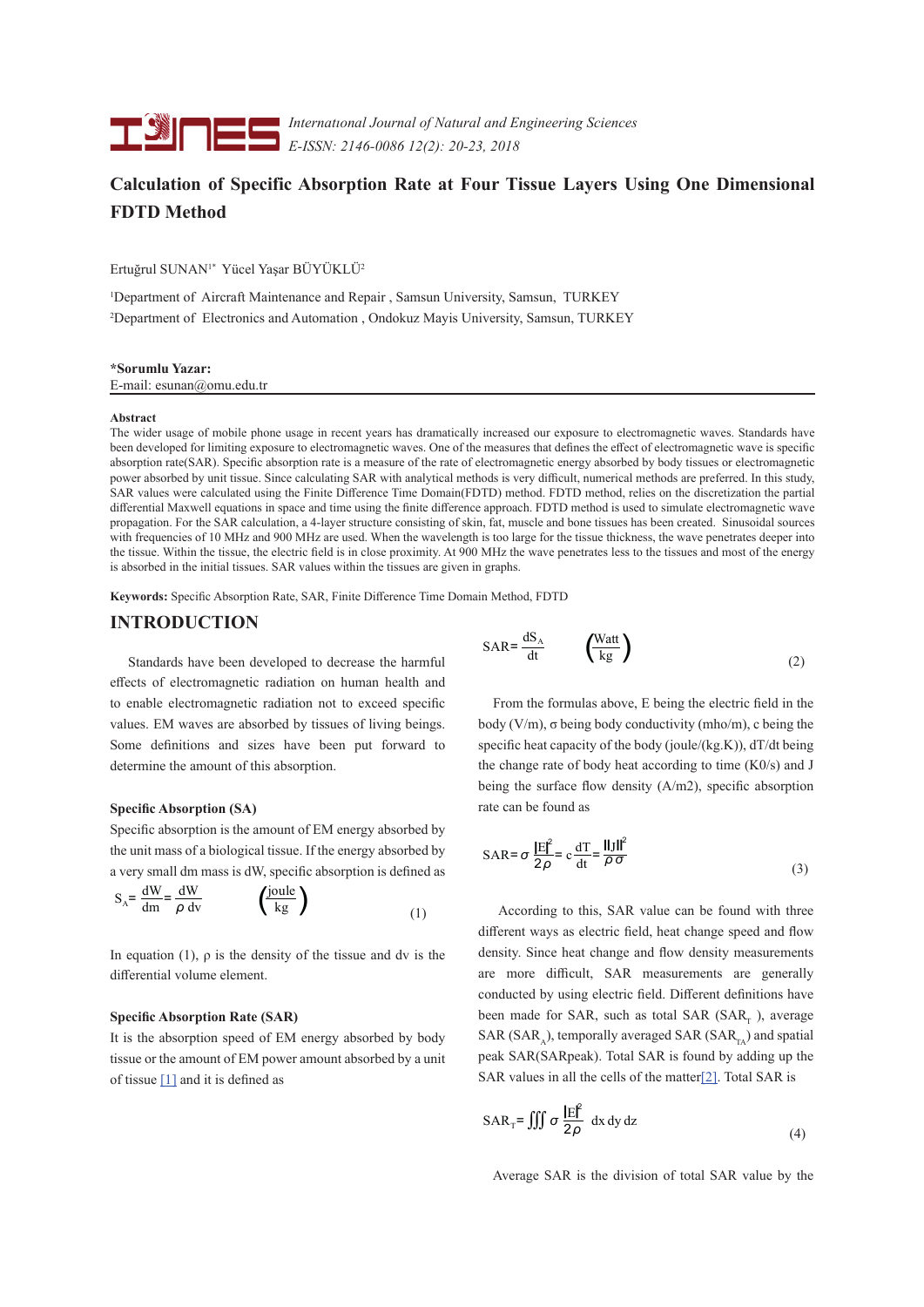

*Internatıonal Journal of Natural and Engineering Sciences E-ISSN: 2146-0086 12(2): 20-23, 2018*

# **Calculation of Specific Absorption Rate at Four Tissue Layers Using One Dimensional FDTD Method**

Ertuğrul SUNAN1\* Yücel Yaşar BÜYÜKLÜ<sup>2</sup>

1 Department of Aircraft Maintenance and Repair , Samsun University, Samsun, TURKEY 2 Department of Electronics and Automation , Ondokuz Mayis University, Samsun, TURKEY

## **\*Sorumlu Yazar:**

E-mail: esunan@omu.edu.tr

#### **Abstract**

The wider usage of mobile phone usage in recent years has dramatically increased our exposure to electromagnetic waves. Standards have been developed for limiting exposure to electromagnetic waves. One of the measures that defines the effect of electromagnetic wave is specific absorption rate(SAR). Specific absorption rate is a measure of the rate of electromagnetic energy absorbed by body tissues or electromagnetic power absorbed by unit tissue. Since calculating SAR with analytical methods is very difficult, numerical methods are preferred. In this study, SAR values were calculated using the Finite Difference Time Domain(FDTD) method. FDTD method, relies on the discretization the partial differential Maxwell equations in space and time using the finite difference approach. FDTD method is used to simulate electromagnetic wave propagation. For the SAR calculation, a 4-layer structure consisting of skin, fat, muscle and bone tissues has been created. Sinusoidal sources with frequencies of 10 MHz and 900 MHz are used. When the wavelength is too large for the tissue thickness, the wave penetrates deeper into the tissue. Within the tissue, the electric field is in close proximity. At 900 MHz the wave penetrates less to the tissues and most of the energy is absorbed in the initial tissues. SAR values within the tissues are given in graphs.

**Keywords:** Specific Absorption Rate, SAR, Finite Difference Time Domain Method, FDTD

### **INTRODUCTION**

 Standards have been developed to decrease the harmful effects of electromagnetic radiation on human health and to enable electromagnetic radiation not to exceed specific values. EM waves are absorbed by tissues of living beings. Some definitions and sizes have been put forward to determine the amount of this absorption.

#### **Specific Absorption (SA)**

Specific absorption is the amount of EM energy absorbed by the unit mass of a biological tissue. If the energy absorbed by a very small dm mass is dW, specific absorption is defined as

$$
S_A = \frac{dW}{dm} = \frac{dW}{\rho dv} \qquad \left(\frac{joule}{kg}\right)
$$
 (1)

In equation (1),  $\rho$  is the density of the tissue and dv is the differential volume element.

#### **Specific Absorption Rate (SAR)**

It is the absorption speed of EM energy absorbed by body tissue or the amount of EM power amount absorbed by a unit of tissue [1] and it is defined as

$$
SAR = \frac{dS_A}{dt} \qquad \left(\frac{Watt}{kg}\right) \tag{2}
$$

 From the formulas above, E being the electric field in the body  $(V/m)$ , σ being body conductivity (mho/m), c being the specific heat capacity of the body (joule/(kg.K)),  $dT/dt$  being the change rate of body heat according to time (K0/s) and J being the surface flow density (A/m2), specific absorption rate can be found as

$$
SAR = \sigma \frac{|E|^2}{2\rho} = c \frac{dT}{dt} = \frac{||J||^2}{\rho \sigma}
$$
 (3)

 According to this, SAR value can be found with three different ways as electric field, heat change speed and flow density. Since heat change and flow density measurements are more difficult, SAR measurements are generally conducted by using electric field. Different definitions have been made for SAR, such as total SAR (SAR, ), average SAR (SAR $_{\circ}$ ), temporally averaged SAR (SAR $_{\circ}$ ) and spatial peak SAR(SARpeak). Total SAR is found by adding up the SAR values in all the cells of the matter[2]. Total SAR is

$$
SAR_{T} = \iiint \sigma \frac{|E|^2}{2\rho} dx dy dz
$$
 (4)

Average SAR is the division of total SAR value by the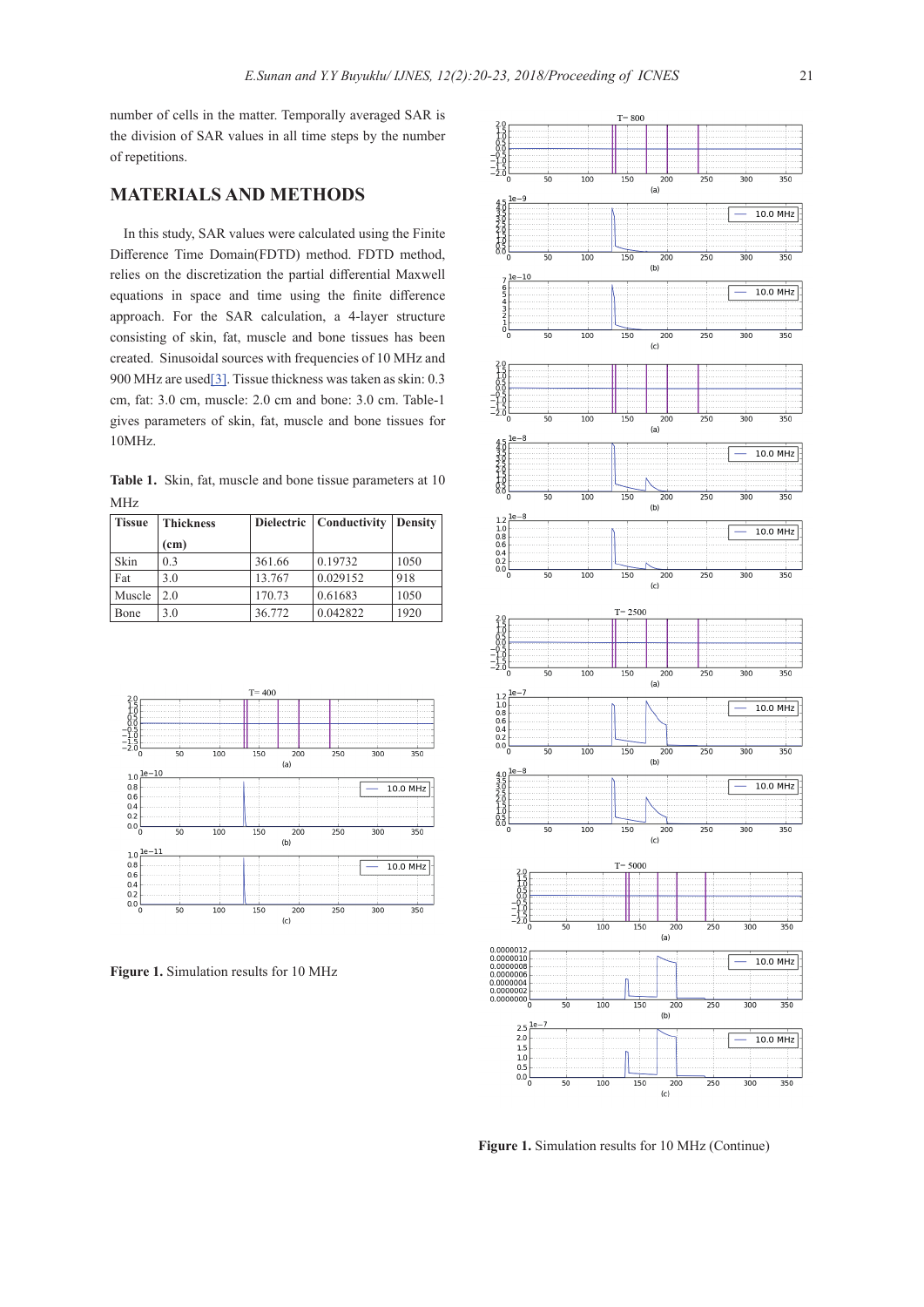number of cells in the matter. Temporally averaged SAR is the division of SAR values in all time steps by the number of repetitions.

# **MATERIALS AND METHODS**

In this study, SAR values were calculated using the Finite Difference Time Domain(FDTD) method. FDTD method, relies on the discretization the partial differential Maxwell equations in space and time using the finite difference approach. For the SAR calculation, a 4-layer structure consisting of skin, fat, muscle and bone tissues has been created. Sinusoidal sources with frequencies of 10 MHz and 900 MHz are used[3]. Tissue thickness was taken as skin: 0.3 cm, fat: 3.0 cm, muscle: 2.0 cm and bone: 3.0 cm. Table-1 gives parameters of skin, fat, muscle and bone tissues for 10MHz.

**Table 1.** Skin, fat, muscle and bone tissue parameters at 10 MHz

| <b>Tissue</b> | <b>Thickness</b>  |        | Dielectric   Conductivity | <b>Density</b> |
|---------------|-------------------|--------|---------------------------|----------------|
|               | (c <sub>m</sub> ) |        |                           |                |
| Skin          | 0.3               | 361.66 | 0.19732                   | 1050           |
| Fat           | 3.0               | 13.767 | 0.029152                  | 918            |
| Muscle        | 2.0               | 170.73 | 0.61683                   | 1050           |
| Bone          | 3.0               | 36.772 | 0.042822                  | 1920           |



**Figure 1.** Simulation results for 10 MHz



**Figure 1.** Simulation results for 10 MHz (Continue)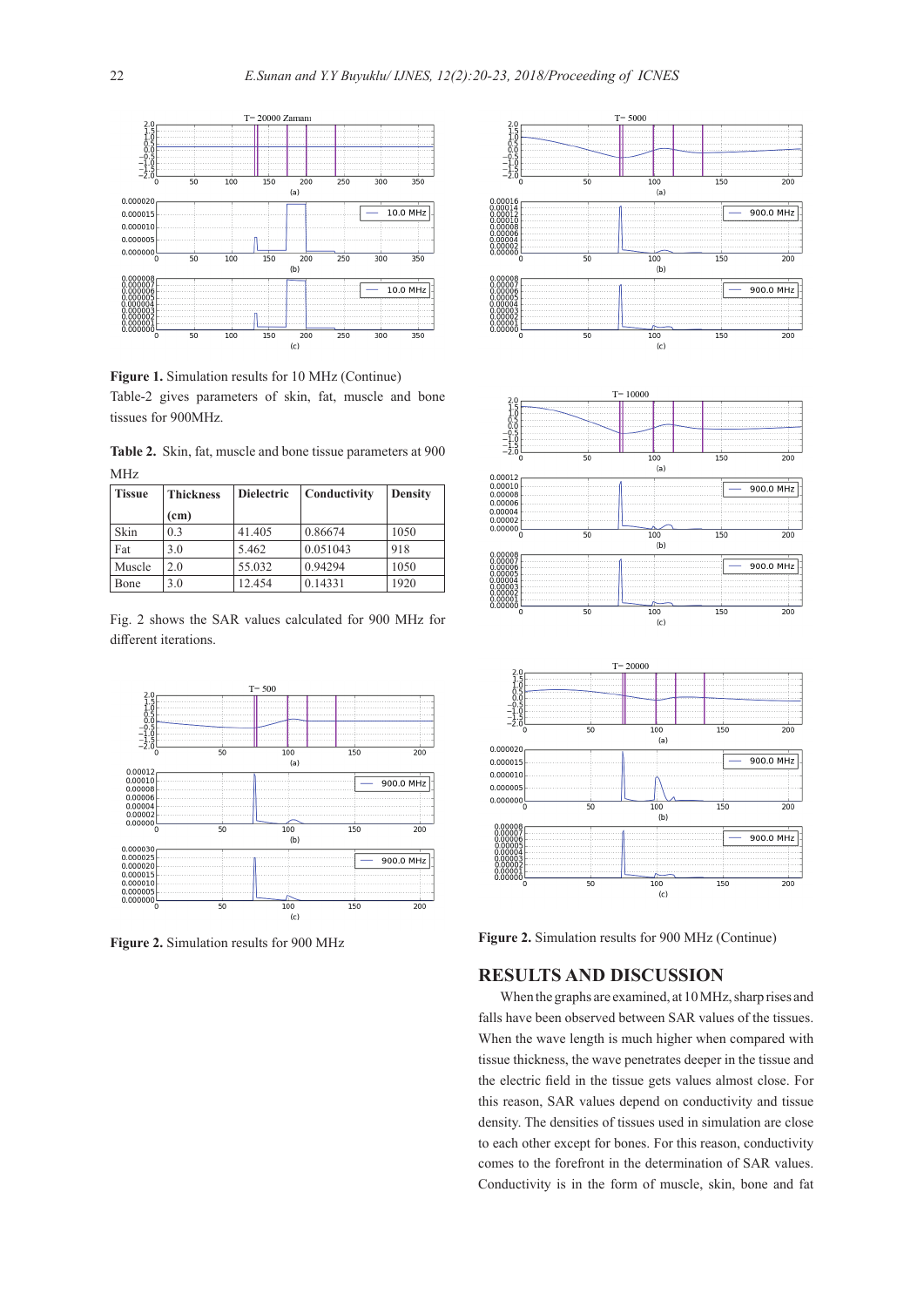

**Figure 1.** Simulation results for 10 MHz (Continue) Table-2 gives parameters of skin, fat, muscle and bone tissues for 900MHz.

**Table 2.** Skin, fat, muscle and bone tissue parameters at 900 MHz

| <b>Tissue</b> | <b>Thickness</b>  | <b>Dielectric</b> | Conductivity | <b>Density</b> |
|---------------|-------------------|-------------------|--------------|----------------|
|               | (c <sub>m</sub> ) |                   |              |                |
| Skin          | 0.3               | 41.405            | 0.86674      | 1050           |
| Fat           | 3.0               | 5.462             | 0.051043     | 918            |
| Muscle        | 2.0               | 55.032            | 0.94294      | 1050           |
| Bone          | 3.0               | 12.454            | 0.14331      | 1920           |

Fig. 2 shows the SAR values calculated for 900 MHz for different iterations.





**Figure 2.** Simulation results for 900 MHz **Figure 2.** Simulation results for 900 MHz (Continue)

# **RESULTS AND DISCUSSION**

When the graphs are examined, at 10 MHz, sharp rises and falls have been observed between SAR values of the tissues. When the wave length is much higher when compared with tissue thickness, the wave penetrates deeper in the tissue and the electric field in the tissue gets values almost close. For this reason, SAR values depend on conductivity and tissue density. The densities of tissues used in simulation are close to each other except for bones. For this reason, conductivity comes to the forefront in the determination of SAR values. Conductivity is in the form of muscle, skin, bone and fat